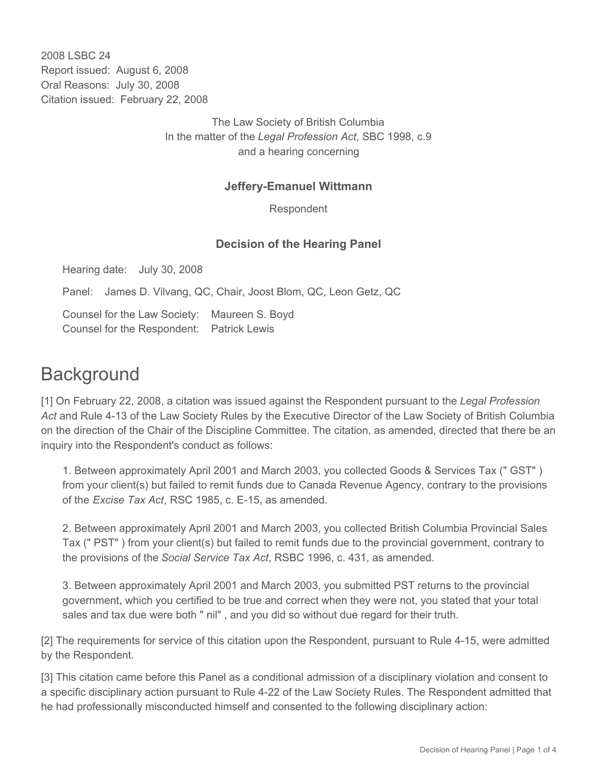2008 LSBC 24 Report issued: August 6, 2008 Oral Reasons: July 30, 2008 Citation issued: February 22, 2008

> The Law Society of British Columbia In the matter of the *Legal Profession Act*, SBC 1998, c.9 and a hearing concerning

### **Jeffery-Emanuel Wittmann**

Respondent

#### **Decision of the Hearing Panel**

Hearing date: July 30, 2008

Panel: James D. Vilvang, QC, Chair, Joost Blom, QC, Leon Getz, QC

Counsel for the Law Society: Maureen S. Boyd Counsel for the Respondent: Patrick Lewis

# **Background**

[1] On February 22, 2008, a citation was issued against the Respondent pursuant to the *Legal Profession Act* and Rule 4-13 of the Law Society Rules by the Executive Director of the Law Society of British Columbia on the direction of the Chair of the Discipline Committee. The citation, as amended, directed that there be an inquiry into the Respondent's conduct as follows:

1. Between approximately April 2001 and March 2003, you collected Goods & Services Tax (" GST" ) from your client(s) but failed to remit funds due to Canada Revenue Agency, contrary to the provisions of the *Excise Tax Act*, RSC 1985, c. E-15, as amended.

2. Between approximately April 2001 and March 2003, you collected British Columbia Provincial Sales Tax (" PST" ) from your client(s) but failed to remit funds due to the provincial government, contrary to the provisions of the *Social Service Tax Act*, RSBC 1996, c. 431, as amended.

3. Between approximately April 2001 and March 2003, you submitted PST returns to the provincial government, which you certified to be true and correct when they were not, you stated that your total sales and tax due were both " nil" , and you did so without due regard for their truth.

[2] The requirements for service of this citation upon the Respondent, pursuant to Rule 4-15, were admitted by the Respondent.

[3] This citation came before this Panel as a conditional admission of a disciplinary violation and consent to a specific disciplinary action pursuant to Rule 4-22 of the Law Society Rules. The Respondent admitted that he had professionally misconducted himself and consented to the following disciplinary action: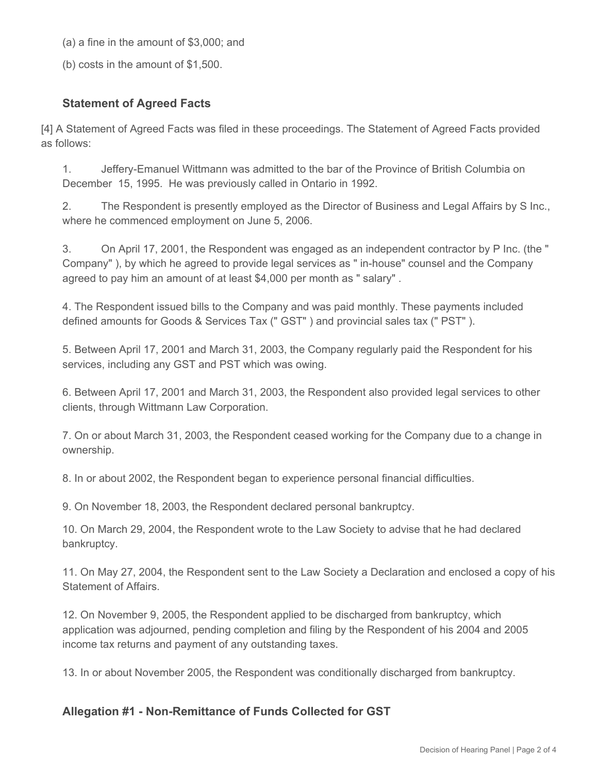(a) a fine in the amount of \$3,000; and

(b) costs in the amount of \$1,500.

## **Statement of Agreed Facts**

[4] A Statement of Agreed Facts was filed in these proceedings. The Statement of Agreed Facts provided as follows:

1. Jeffery-Emanuel Wittmann was admitted to the bar of the Province of British Columbia on December 15, 1995. He was previously called in Ontario in 1992.

2. The Respondent is presently employed as the Director of Business and Legal Affairs by S Inc., where he commenced employment on June 5, 2006.

3. On April 17, 2001, the Respondent was engaged as an independent contractor by P Inc. (the " Company" ), by which he agreed to provide legal services as " in-house" counsel and the Company agreed to pay him an amount of at least \$4,000 per month as " salary" .

4. The Respondent issued bills to the Company and was paid monthly. These payments included defined amounts for Goods & Services Tax (" GST" ) and provincial sales tax (" PST" ).

5. Between April 17, 2001 and March 31, 2003, the Company regularly paid the Respondent for his services, including any GST and PST which was owing.

6. Between April 17, 2001 and March 31, 2003, the Respondent also provided legal services to other clients, through Wittmann Law Corporation.

7. On or about March 31, 2003, the Respondent ceased working for the Company due to a change in ownership.

8. In or about 2002, the Respondent began to experience personal financial difficulties.

9. On November 18, 2003, the Respondent declared personal bankruptcy.

10. On March 29, 2004, the Respondent wrote to the Law Society to advise that he had declared bankruptcy.

11. On May 27, 2004, the Respondent sent to the Law Society a Declaration and enclosed a copy of his Statement of Affairs.

12. On November 9, 2005, the Respondent applied to be discharged from bankruptcy, which application was adjourned, pending completion and filing by the Respondent of his 2004 and 2005 income tax returns and payment of any outstanding taxes.

13. In or about November 2005, the Respondent was conditionally discharged from bankruptcy.

#### **Allegation #1 - Non-Remittance of Funds Collected for GST**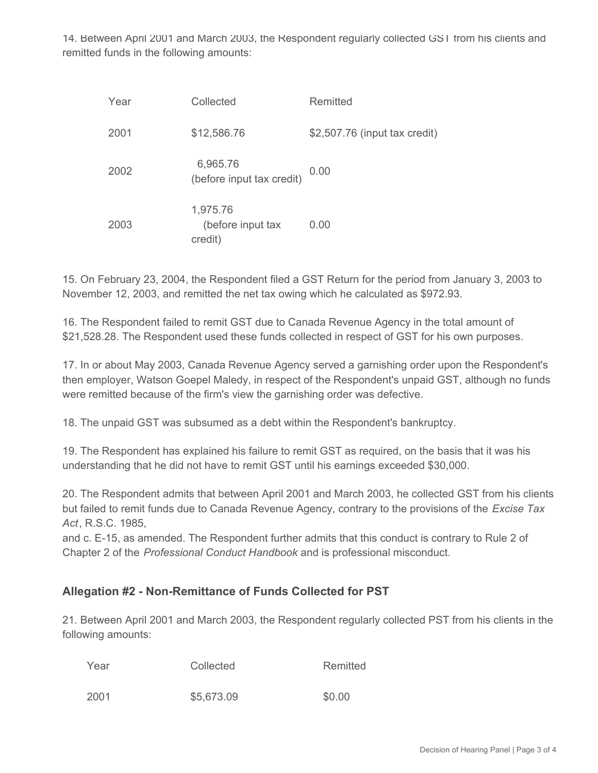14. Between April 2001 and March 2003, the Respondent regularly collected GST from his clients and remitted funds in the following amounts:

| Year | Collected                                | Remitted                      |
|------|------------------------------------------|-------------------------------|
| 2001 | \$12,586.76                              | \$2,507.76 (input tax credit) |
| 2002 | 6,965.76<br>(before input tax credit)    | 0.00                          |
| 2003 | 1,975.76<br>(before input tax<br>credit) | 0.00                          |

15. On February 23, 2004, the Respondent filed a GST Return for the period from January 3, 2003 to November 12, 2003, and remitted the net tax owing which he calculated as \$972.93.

16. The Respondent failed to remit GST due to Canada Revenue Agency in the total amount of \$21,528.28. The Respondent used these funds collected in respect of GST for his own purposes.

17. In or about May 2003, Canada Revenue Agency served a garnishing order upon the Respondent's then employer, Watson Goepel Maledy, in respect of the Respondent's unpaid GST, although no funds were remitted because of the firm's view the garnishing order was defective.

18. The unpaid GST was subsumed as a debt within the Respondent's bankruptcy.

19. The Respondent has explained his failure to remit GST as required, on the basis that it was his understanding that he did not have to remit GST until his earnings exceeded \$30,000.

20. The Respondent admits that between April 2001 and March 2003, he collected GST from his clients but failed to remit funds due to Canada Revenue Agency, contrary to the provisions of the *Excise Tax Act*, R.S.C. 1985,

and c. E-15, as amended. The Respondent further admits that this conduct is contrary to Rule 2 of Chapter 2 of the *Professional Conduct Handbook* and is professional misconduct.

# **Allegation #2 - Non-Remittance of Funds Collected for PST**

21. Between April 2001 and March 2003, the Respondent regularly collected PST from his clients in the following amounts:

| Year | Collected  | Remitted |
|------|------------|----------|
| 2001 | \$5,673.09 | \$0.00   |